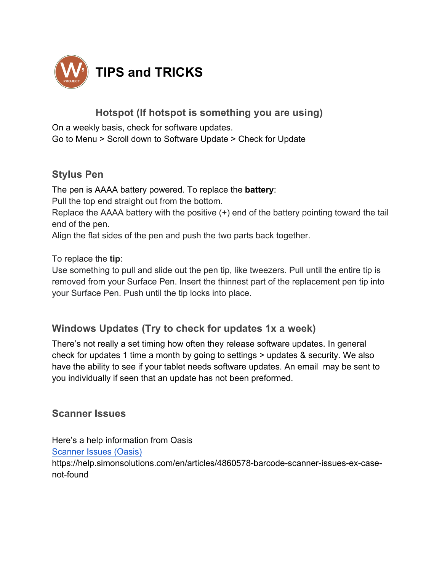

# **Hotspot (If hotspot is something you are using)**

On a weekly basis, check for software updates. Go to Menu > Scroll down to Software Update > Check for Update

## **Stylus Pen**

The pen is AAAA battery powered. To replace the **battery**: Pull the top end straight out from the bottom. Replace the AAAA battery with the positive (+) end of the battery pointing toward the tail end of the pen. Align the flat sides of the pen and push the two parts back together.

To replace the **tip**:

Use something to pull and slide out the pen tip, like tweezers. Pull until the entire tip is removed from your Surface Pen. Insert the thinnest part of the replacement pen tip into your Surface Pen. Push until the tip locks into place.

## **Windows Updates (Try to check for updates 1x a week)**

There's not really a set timing how often they release software updates. In general check for updates 1 time a month by going to settings > updates & security. We also have the ability to see if your tablet needs software updates. An email may be sent to you individually if seen that an update has not been preformed.

#### **Scanner Issues**

Here's a help information from Oasis Scanner Issues (Oasis) https://help.simonsolutions.com/en/articles/4860578-barcode-scanner-issues-ex-casenot-found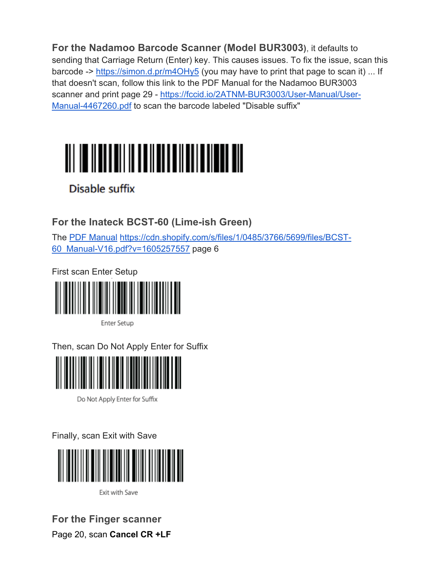**For the Nadamoo Barcode Scanner (Model BUR3003)**, it defaults to sending that Carriage Return (Enter) key. This causes issues. To fix the issue, scan this barcode -> https://simon.d.pr/m4OHy5 (you may have to print that page to scan it) ... If that doesn't scan, follow this link to the PDF Manual for the Nadamoo BUR3003 scanner and print page 29 - https://fccid.io/2ATNM-BUR3003/User-Manual/User-Manual-4467260.pdf to scan the barcode labeled "Disable suffix"



Disable suffix

**For the Inateck BCST-60 (Lime-ish Green)** 

The PDF Manual https://cdn.shopify.com/s/files/1/0485/3766/5699/files/BCST-60\_Manual-V16.pdf?v=1605257557 page 6

First scan Enter Setup

Enter Setup

Then, scan Do Not Apply Enter for Suffix



Do Not Apply Enter for Suffix

Finally, scan Exit with Save



Exit with Save

**For the Finger scanner** Page 20, scan **Cancel CR +LF**